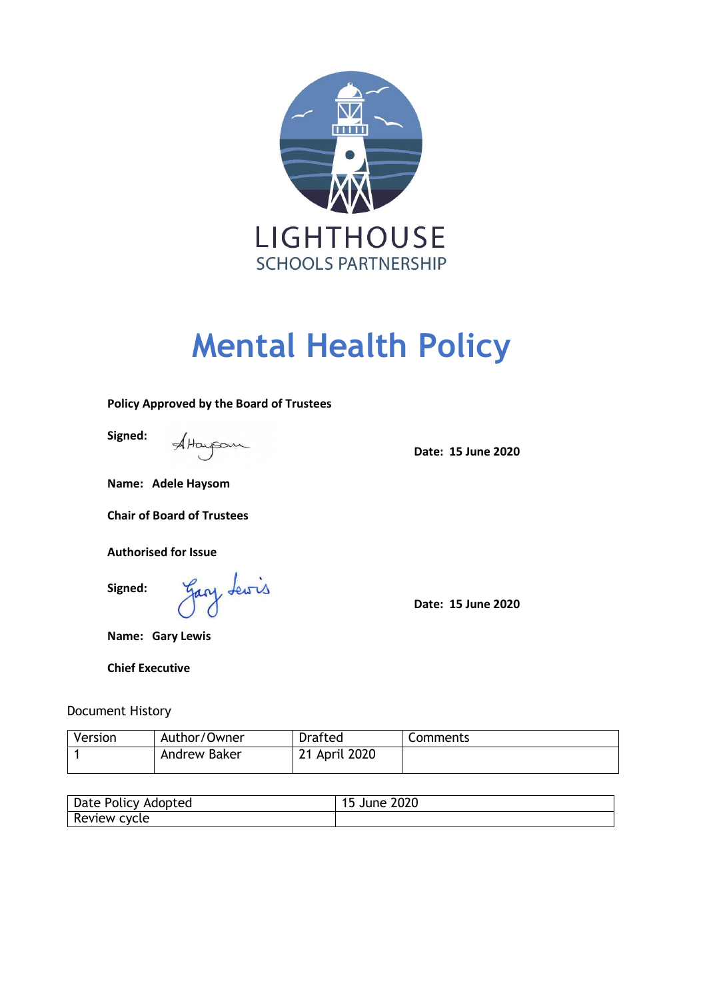

# **Mental Health Policy**

#### **Policy Approved by the Board of Trustees**

**Signed:**

Attaupon

**Date: 15 June 2020**

**Name: Adele Haysom**

**Chair of Board of Trustees**

**Authorised for Issue**

**Signed:**

Gary Lewis

**Date: 15 June 2020**

**Name: Gary Lewis**

**Chief Executive**

Document History

| Version | Author/Owner | Drafted       | Comments |
|---------|--------------|---------------|----------|
|         | Andrew Baker | 21 April 2020 |          |

| Date Policy<br>Adopted | $\sim$<br>zuzu<br>June |
|------------------------|------------------------|
| Review<br>cycle        |                        |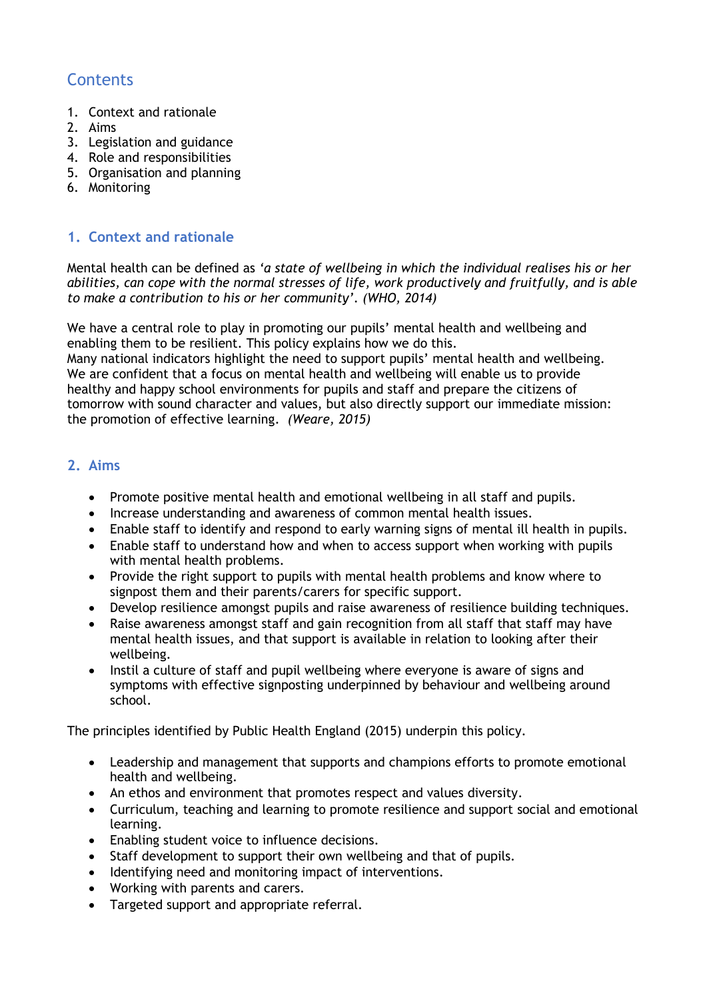# **Contents**

- 1. Context and rationale
- 2. Aims
- 3. Legislation and guidance
- 4. Role and responsibilities
- 5. Organisation and planning
- 6. Monitoring

# **1. Context and rationale**

Mental health can be defined as *'a state of wellbeing in which the individual realises his or her abilities, can cope with the normal stresses of life, work productively and fruitfully, and is able to make a contribution to his or her community'*. *(WHO, 2014)*

We have a central role to play in promoting our pupils' mental health and wellbeing and enabling them to be resilient. This policy explains how we do this.

Many national indicators highlight the need to support pupils' mental health and wellbeing. We are confident that a focus on mental health and wellbeing will enable us to provide healthy and happy school environments for pupils and staff and prepare the citizens of tomorrow with sound character and values, but also directly support our immediate mission: the promotion of effective learning. *(Weare, 2015)*

# **2. Aims**

- Promote positive mental health and emotional wellbeing in all staff and pupils.
- Increase understanding and awareness of common mental health issues.
- Enable staff to identify and respond to early warning signs of mental ill health in pupils.
- Enable staff to understand how and when to access support when working with pupils with mental health problems.
- Provide the right support to pupils with mental health problems and know where to signpost them and their parents/carers for specific support.
- Develop resilience amongst pupils and raise awareness of resilience building techniques.
- Raise awareness amongst staff and gain recognition from all staff that staff may have mental health issues, and that support is available in relation to looking after their wellbeing.
- Instil a culture of staff and pupil wellbeing where everyone is aware of signs and symptoms with effective signposting underpinned by behaviour and wellbeing around school.

The principles identified by Public Health England (2015) underpin this policy.

- Leadership and management that supports and champions efforts to promote emotional health and wellbeing.
- An ethos and environment that promotes respect and values diversity.
- Curriculum, teaching and learning to promote resilience and support social and emotional learning.
- Enabling student voice to influence decisions.
- Staff development to support their own wellbeing and that of pupils.
- Identifying need and monitoring impact of interventions.
- Working with parents and carers.
- Targeted support and appropriate referral.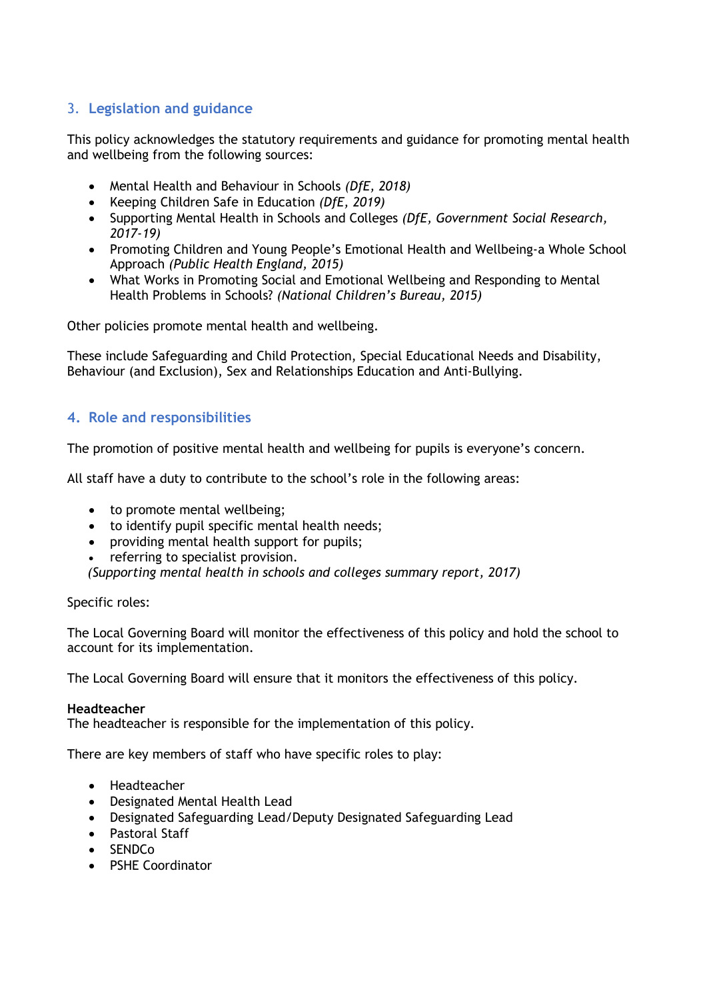# 3. **Legislation and guidance**

This policy acknowledges the statutory requirements and guidance for promoting mental health and wellbeing from the following sources:

- Mental Health and Behaviour in Schools *(DfE, 2018)*
- Keeping Children Safe in Education *(DfE, 2019)*
- Supporting Mental Health in Schools and Colleges *(DfE, Government Social Research, 2017-19)*
- Promoting Children and Young People's Emotional Health and Wellbeing-a Whole School Approach *(Public Health England, 2015)*
- What Works in Promoting Social and Emotional Wellbeing and Responding to Mental Health Problems in Schools? *(National Children's Bureau, 2015)*

Other policies promote mental health and wellbeing.

These include Safeguarding and Child Protection, Special Educational Needs and Disability, Behaviour (and Exclusion), Sex and Relationships Education and Anti-Bullying.

# **4. Role and responsibilities**

The promotion of positive mental health and wellbeing for pupils is everyone's concern.

All staff have a duty to contribute to the school's role in the following areas:

- to promote mental wellbeing;
- to identify pupil specific mental health needs;
- providing mental health support for pupils;
- referring to specialist provision.

*(Supporting mental health in schools and colleges summary report, 2017)*

#### Specific roles:

The Local Governing Board will monitor the effectiveness of this policy and hold the school to account for its implementation.

The Local Governing Board will ensure that it monitors the effectiveness of this policy.

#### **Headteacher**

The headteacher is responsible for the implementation of this policy.

There are key members of staff who have specific roles to play:

- Headteacher
- Designated Mental Health Lead
- Designated Safeguarding Lead/Deputy Designated Safeguarding Lead
- Pastoral Staff
- $\cdot$  SENDC<sub>o</sub>
- PSHE Coordinator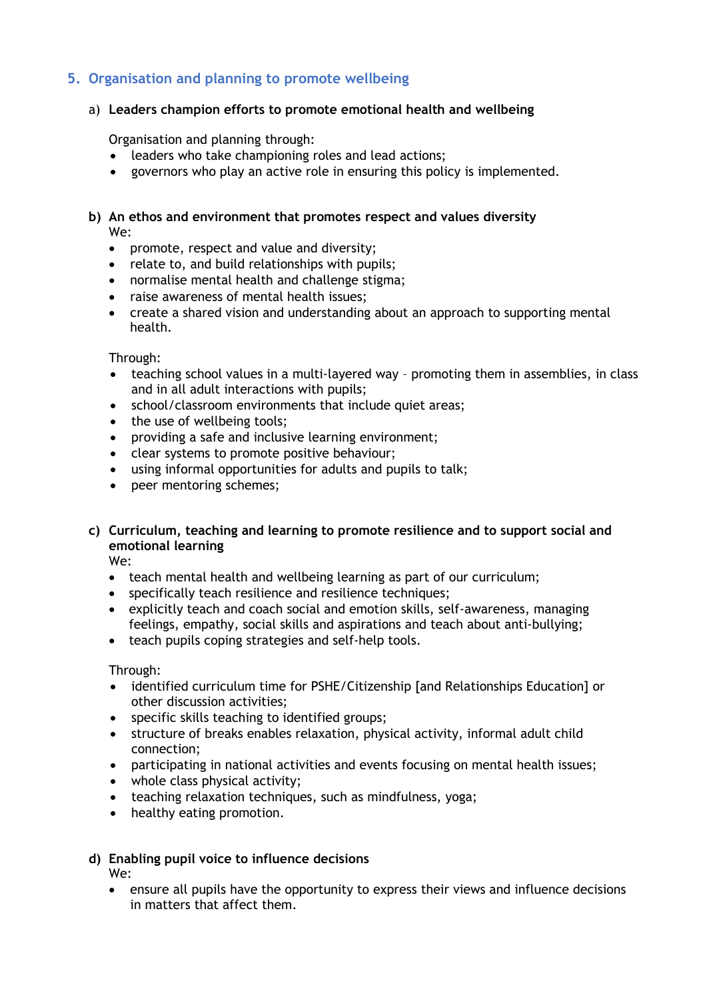# **5. Organisation and planning to promote wellbeing**

#### a) **Leaders champion efforts to promote emotional health and wellbeing**

Organisation and planning through:

- leaders who take championing roles and lead actions;
- governors who play an active role in ensuring this policy is implemented.

#### **b) An ethos and environment that promotes respect and values diversity** We:

- promote, respect and value and diversity;
- relate to, and build relationships with pupils;
- normalise mental health and challenge stigma;
- raise awareness of mental health issues;
- create a shared vision and understanding about an approach to supporting mental health.

#### Through:

- teaching school values in a multi-layered way promoting them in assemblies, in class and in all adult interactions with pupils;
- school/classroom environments that include quiet areas;
- the use of wellbeing tools;
- providing a safe and inclusive learning environment;
- clear systems to promote positive behaviour;
- using informal opportunities for adults and pupils to talk;
- peer mentoring schemes;

# **c) Curriculum, teaching and learning to promote resilience and to support social and emotional learning**

We:

- teach mental health and wellbeing learning as part of our curriculum;
- specifically teach resilience and resilience techniques;
- explicitly teach and coach social and emotion skills, self-awareness, managing feelings, empathy, social skills and aspirations and teach about anti-bullying;
- teach pupils coping strategies and self-help tools.

Through:

- identified curriculum time for PSHE/Citizenship [and Relationships Education] or other discussion activities;
- specific skills teaching to identified groups;
- structure of breaks enables relaxation, physical activity, informal adult child connection;
- participating in national activities and events focusing on mental health issues;
- whole class physical activity;
- teaching relaxation techniques, such as mindfulness, yoga;
- healthy eating promotion.

#### **d) Enabling pupil voice to influence decisions** We:

 ensure all pupils have the opportunity to express their views and influence decisions in matters that affect them.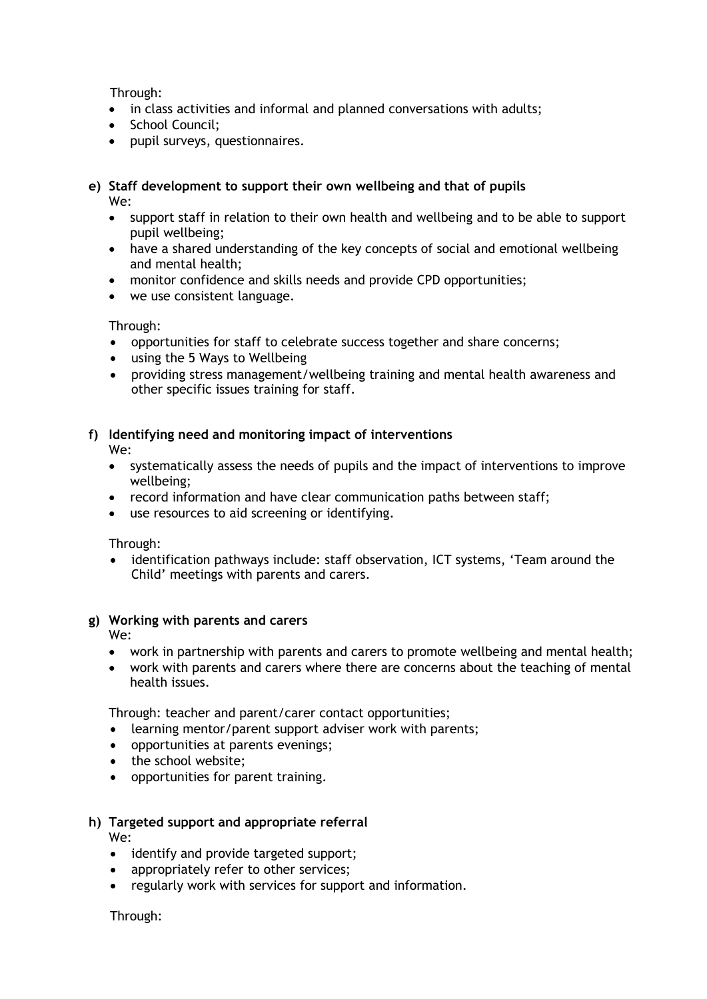Through:

- in class activities and informal and planned conversations with adults;
- School Council:
- pupil surveys, questionnaires.

#### **e) Staff development to support their own wellbeing and that of pupils**  We:

- support staff in relation to their own health and wellbeing and to be able to support pupil wellbeing;
- have a shared understanding of the key concepts of social and emotional wellbeing and mental health;
- monitor confidence and skills needs and provide CPD opportunities;
- we use consistent language.

Through:

- opportunities for staff to celebrate success together and share concerns;
- using the 5 Ways to Wellbeing
- providing stress management/wellbeing training and mental health awareness and other specific issues training for staff.

# **f) Identifying need and monitoring impact of interventions**

We:

- systematically assess the needs of pupils and the impact of interventions to improve wellbeing;
- record information and have clear communication paths between staff;
- use resources to aid screening or identifying.

Through:

 identification pathways include: staff observation, ICT systems, 'Team around the Child' meetings with parents and carers.

# **g) Working with parents and carers**

We:

- work in partnership with parents and carers to promote wellbeing and mental health;
- work with parents and carers where there are concerns about the teaching of mental health issues.

Through: teacher and parent/carer contact opportunities;

- learning mentor/parent support adviser work with parents;
- opportunities at parents evenings;
- the school website:
- opportunities for parent training.

# **h) Targeted support and appropriate referral**

We:

- identify and provide targeted support;
- appropriately refer to other services;
- regularly work with services for support and information.

Through: